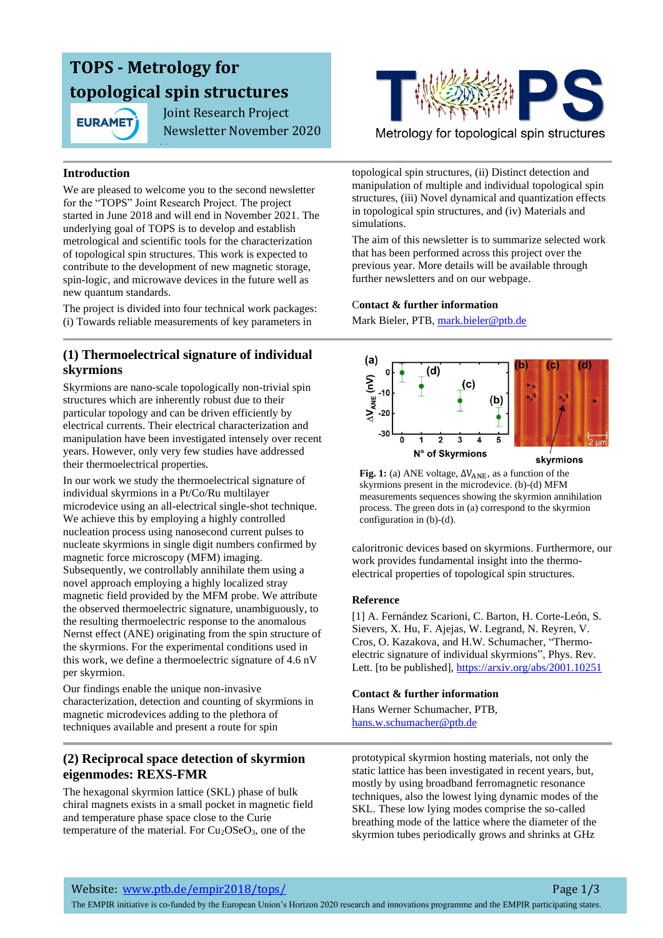# **TOPS - Metrology for topological spin structures**

1/3

**EURAMET** 

 Joint Research Project Newsletter November 2020

### **Introduction**

We are pleased to welcome you to the second newsletter for the "TOPS" Joint Research Project. The project started in June 2018 and will end in November 2021. The underlying goal of TOPS is to develop and establish metrological and scientific tools for the characterization of topological spin structures. This work is expected to contribute to the development of new magnetic storage, spin-logic, and microwave devices in the future well as new quantum standards.

The project is divided into four technical work packages: (i) Towards reliable measurements of key parameters in

### **(1) Thermoelectrical signature of individual skyrmions**

Skyrmions are nano-scale topologically non-trivial spin structures which are inherently robust due to their particular topology and can be driven efficiently by electrical currents. Their electrical characterization and manipulation have been investigated intensely over recent years. However, only very few studies have addressed their thermoelectrical properties.

In our work we study the thermoelectrical signature of individual skyrmions in a Pt/Co/Ru multilayer microdevice using an all-electrical single-shot technique. We achieve this by employing a highly controlled nucleation process using nanosecond current pulses to nucleate skyrmions in single digit numbers confirmed by magnetic force microscopy (MFM) imaging. Subsequently, we controllably annihilate them using a novel approach employing a highly localized stray magnetic field provided by the MFM probe. We attribute the observed thermoelectric signature, unambiguously, to the resulting thermoelectric response to the anomalous Nernst effect (ANE) originating from the spin structure of the skyrmions. For the experimental conditions used in this work, we define a thermoelectric signature of 4.6 nV per skyrmion.

Our findings enable the unique non-invasive characterization, detection and counting of skyrmions in magnetic microdevices adding to the plethora of techniques available and present a route for spin

### **(2) Reciprocal space detection of skyrmion eigenmodes: REXS-FMR**

The hexagonal skyrmion lattice (SKL) phase of bulk chiral magnets exists in a small pocket in magnetic field and temperature phase space close to the Curie temperature of the material. For  $Cu<sub>2</sub>OSeO<sub>3</sub>$ , one of the



Metrology for topological spin structures

topological spin structures, (ii) Distinct detection and manipulation of multiple and individual topological spin structures, (iii) Novel dynamical and quantization effects in topological spin structures, and (iv) Materials and simulations.

The aim of this newsletter is to summarize selected work that has been performed across this project over the previous year. More details will be available through further newsletters and on our webpage.

### C**ontact & further information**

Mark Bieler, PTB, [mark.bieler@ptb.de](mailto:mark.bieler@ptb.de)



**Fig. 1:** (a) ANE voltage,  $\Delta V_{\text{ANE}}$ , as a function of the skyrmions present in the microdevice. (b)-(d) MFM measurements sequences showing the skyrmion annihilation process. The green dots in (a) correspond to the skyrmion configuration in (b)-(d).

caloritronic devices based on skyrmions. Furthermore, our work provides fundamental insight into the thermoelectrical properties of topological spin structures.

### **Reference**

[1] A. Fernández Scarioni, C. Barton, H. Corte-León, S. Sievers, X. Hu, F. Ajejas, W. Legrand, N. Reyren, V. Cros, O. Kazakova, and H.W. Schumacher, "Thermoelectric signature of individual skyrmions", Phys. Rev. Lett. [to be published], <https://arxiv.org/abs/2001.10251>

### **Contact & further information**

Hans Werner Schumacher, PTB, [hans.w.schumacher@ptb.de](mailto:hans.w.schumacher@ptb.de)

prototypical skyrmion hosting materials, not only the static lattice has been investigated in recent years, but, mostly by using broadband ferromagnetic resonance techniques, also the lowest lying dynamic modes of the SKL. These low lying modes comprise the so-called breathing mode of the lattice where the diameter of the skyrmion tubes periodically grows and shrinks at GHz

Website: [www.ptb.de/empir2018/tops/](http://www.ptb.de/empir2018/tops/) Page 1/3

The EMPIR initiative is co-funded by the European Union's Horizon 2020 research and innovations programme and the EMPIR participating states.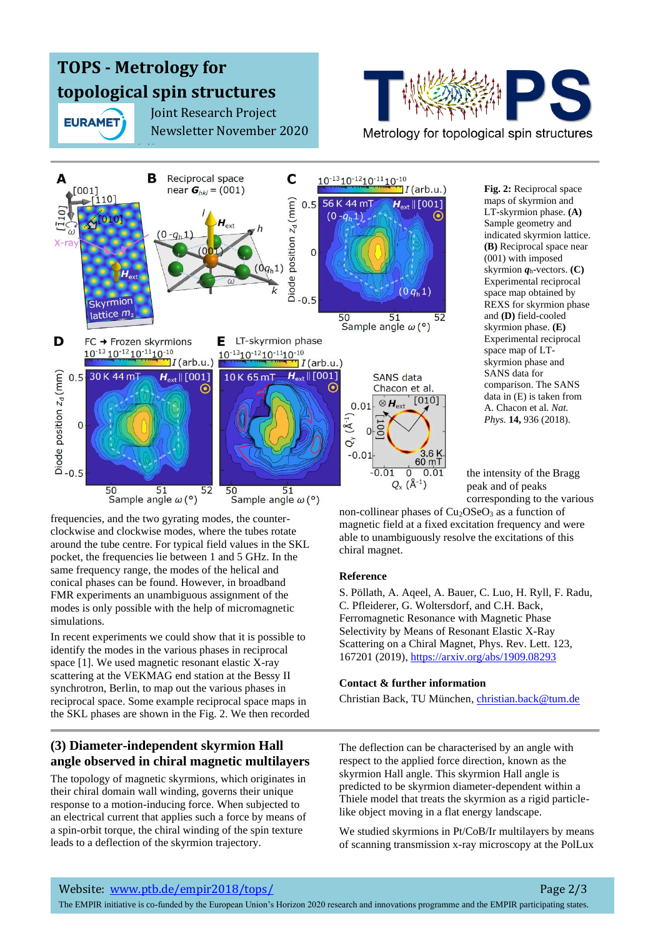# **TOPS - Metrology for topological spin structures**

2/3

**EURAMET** 

 Joint Research Project Newsletter November 2020



#### B Reciprocal space C  $10^{-13} 10^{-12} 10^{-11} 10^{-10}$  $[001]$ near  $G_{hkl} = (001)$  $I($ arb.u.) Diode position  $z_d$  (mm)<br> $\frac{1}{c}$ <br>o<br>o<br>o<br>o  $0.5$ 56 K 44 m  $H_{\text{ext}}$  || [001]  $(0 - q_h 1)$  $0 - a$  $X-ra$  $(0 q_h 1)$ Skyrmion lattice  $m_z$ 50  $51$  $52$ Sample angle  $\omega$  (°) D LT-skyrmion phase FC → Frozen skyrmions Е  $10^{-13}$   $10^{-12}$   $10^{-11}$   $10^{-10}$  $10^{-13}10^{-12}10^{-11}10^{-10}$  $I(\text{arb.u.})$  $\P I$ (arb.u.) 30 K 44 m  $H_{\text{ext}}$  || [001] 10K65mT  $H_{ext}$  [001] Diode position  $z_d$  (mm)  $0.5$ **SANS** data  $\odot$ Chacon et al.  $[010]$  $\otimes H_{\rm ext}$  $0<sub>01</sub>$  $Q_{y} (A^{-1})$  $00I$  $\overline{0}$  $\Omega$  $-0.01$  $60 \text{ mT}$  $-0.5$  $-0.01$  $\overline{\mathfrak{o}}$  $0.01$  $Q_{x}$   $(\lambda^{-1})$ 50 51<br>Sample angle  $\omega$  (°) 50 51<br>Sample angle  $\omega$  (°) 52

**Fig. 2:** Reciprocal space maps of skyrmion and LT-skyrmion phase. **(A)**  Sample geometry and indicated skyrmion lattice. **(B)** Reciprocal space near (001) with imposed skyrmion *q*h-vectors. **(C)**  Experimental reciprocal space map obtained by REXS for skyrmion phase and **(D)** field-cooled skyrmion phase. **(E)**  Experimental reciprocal space map of LTskyrmion phase and SANS data for comparison. The SANS data in (E) is taken from A. Chacon et al. *Nat. Phys.* **14,** 936 (2018).

the intensity of the Bragg peak and of peaks corresponding to the various

frequencies, and the two gyrating modes, the counterclockwise and clockwise modes, where the tubes rotate around the tube centre. For typical field values in the SKL pocket, the frequencies lie between 1 and 5 GHz. In the same frequency range, the modes of the helical and conical phases can be found. However, in broadband FMR experiments an unambiguous assignment of the modes is only possible with the help of micromagnetic simulations.

In recent experiments we could show that it is possible to identify the modes in the various phases in reciprocal space [1]. We used magnetic resonant elastic X-ray scattering at the VEKMAG end station at the Bessy II synchrotron, Berlin, to map out the various phases in reciprocal space. Some example reciprocal space maps in the SKL phases are shown in the Fig. 2. We then recorded

### **(3) Diameter-independent skyrmion Hall angle observed in chiral magnetic multilayers**

The topology of magnetic skyrmions, which originates in their chiral domain wall winding, governs their unique response to a motion-inducing force. When subjected to an electrical current that applies such a force by means of a spin-orbit torque, the chiral winding of the spin texture leads to a deflection of the skyrmion trajectory.

non-collinear phases of  $Cu<sub>2</sub>OSeO<sub>3</sub>$  as a function of magnetic field at a fixed excitation frequency and were able to unambiguously resolve the excitations of this chiral magnet.

### **Reference**

S. Pöllath, A. Aqeel, A. Bauer, C. Luo, H. Ryll, F. Radu, C. Pfleiderer, G. Woltersdorf, and C.H. Back, Ferromagnetic Resonance with Magnetic Phase Selectivity by Means of Resonant Elastic X-Ray Scattering on a Chiral Magnet, Phys. Rev. Lett. 123, 167201 (2019),<https://arxiv.org/abs/1909.08293>

### **Contact & further information**

Christian Back, TU München, [christian.back@tum.de](mailto:christian.back@tum.de)

The deflection can be characterised by an angle with respect to the applied force direction, known as the skyrmion Hall angle. This skyrmion Hall angle is predicted to be skyrmion diameter-dependent within a Thiele model that treats the skyrmion as a rigid particlelike object moving in a flat energy landscape.

We studied skyrmions in Pt/CoB/Ir multilayers by means of scanning transmission x-ray microscopy at the PolLux

The EMPIR initiative is co-funded by the European Union's Horizon 2020 research and innovations programme and the EMPIR participating states.